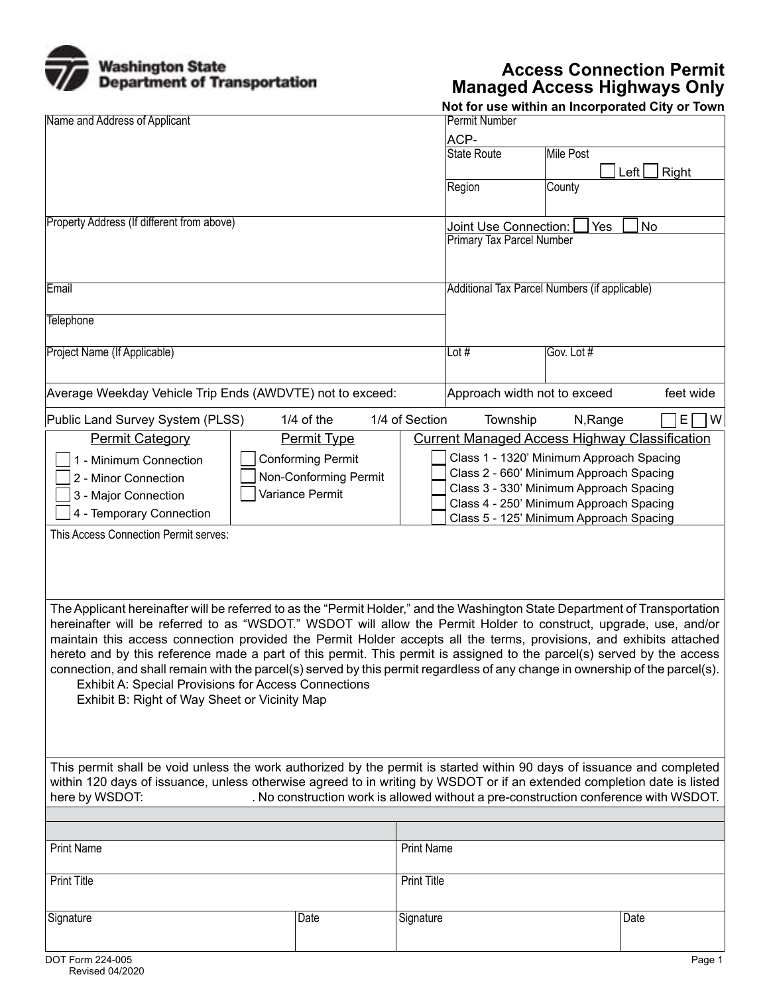

## **Access Connection Permit Managed Access Highways Only**

|                                                                                                                               |             |                                    |                                                                                     |            | Not for use within an Incorporated City or Town |  |  |
|-------------------------------------------------------------------------------------------------------------------------------|-------------|------------------------------------|-------------------------------------------------------------------------------------|------------|-------------------------------------------------|--|--|
| Name and Address of Applicant                                                                                                 |             |                                    | Permit Number                                                                       |            |                                                 |  |  |
|                                                                                                                               |             |                                    | ACP-                                                                                |            |                                                 |  |  |
|                                                                                                                               |             |                                    | State Route                                                                         | Mile Post  |                                                 |  |  |
|                                                                                                                               |             |                                    |                                                                                     |            | Left $\lfloor$<br>Right                         |  |  |
|                                                                                                                               |             |                                    | Region                                                                              | County     |                                                 |  |  |
|                                                                                                                               |             |                                    |                                                                                     |            |                                                 |  |  |
| Property Address (If different from above)                                                                                    |             | No<br>Joint Use Connection:<br>Yes |                                                                                     |            |                                                 |  |  |
|                                                                                                                               |             |                                    | <b>Primary Tax Parcel Number</b>                                                    |            |                                                 |  |  |
|                                                                                                                               |             |                                    |                                                                                     |            |                                                 |  |  |
|                                                                                                                               |             |                                    |                                                                                     |            |                                                 |  |  |
| Email                                                                                                                         |             |                                    | Additional Tax Parcel Numbers (if applicable)                                       |            |                                                 |  |  |
|                                                                                                                               |             |                                    |                                                                                     |            |                                                 |  |  |
| Telephone                                                                                                                     |             |                                    |                                                                                     |            |                                                 |  |  |
|                                                                                                                               |             |                                    |                                                                                     |            |                                                 |  |  |
| Project Name (If Applicable)                                                                                                  |             |                                    | Lot $#$                                                                             | Gov. Lot # |                                                 |  |  |
|                                                                                                                               |             |                                    |                                                                                     |            |                                                 |  |  |
|                                                                                                                               |             |                                    |                                                                                     |            |                                                 |  |  |
| Average Weekday Vehicle Trip Ends (AWDVTE) not to exceed:                                                                     |             |                                    | Approach width not to exceed<br>feet wide                                           |            |                                                 |  |  |
| 1/4 of Section<br>Public Land Survey System (PLSS)<br>$1/4$ of the                                                            |             |                                    | Township                                                                            | N, Range   | E.<br>W                                         |  |  |
| <b>Permit Category</b>                                                                                                        | Permit Type |                                    | <b>Current Managed Access Highway Classification</b>                                |            |                                                 |  |  |
|                                                                                                                               |             |                                    |                                                                                     |            |                                                 |  |  |
| <b>Conforming Permit</b><br>1 - Minimum Connection                                                                            |             |                                    | Class 1 - 1320' Minimum Approach Spacing<br>Class 2 - 660' Minimum Approach Spacing |            |                                                 |  |  |
| Non-Conforming Permit<br>2 - Minor Connection                                                                                 |             |                                    | Class 3 - 330' Minimum Approach Spacing                                             |            |                                                 |  |  |
| Variance Permit<br>3 - Major Connection                                                                                       |             |                                    | Class 4 - 250' Minimum Approach Spacing                                             |            |                                                 |  |  |
| 4 - Temporary Connection                                                                                                      |             |                                    | Class 5 - 125' Minimum Approach Spacing                                             |            |                                                 |  |  |
| This Access Connection Permit serves:                                                                                         |             |                                    |                                                                                     |            |                                                 |  |  |
|                                                                                                                               |             |                                    |                                                                                     |            |                                                 |  |  |
|                                                                                                                               |             |                                    |                                                                                     |            |                                                 |  |  |
|                                                                                                                               |             |                                    |                                                                                     |            |                                                 |  |  |
|                                                                                                                               |             |                                    |                                                                                     |            |                                                 |  |  |
| The Applicant hereinafter will be referred to as the "Permit Holder," and the Washington State Department of Transportation   |             |                                    |                                                                                     |            |                                                 |  |  |
| hereinafter will be referred to as "WSDOT." WSDOT will allow the Permit Holder to construct, upgrade, use, and/or             |             |                                    |                                                                                     |            |                                                 |  |  |
| maintain this access connection provided the Permit Holder accepts all the terms, provisions, and exhibits attached           |             |                                    |                                                                                     |            |                                                 |  |  |
| hereto and by this reference made a part of this permit. This permit is assigned to the parcel(s) served by the access        |             |                                    |                                                                                     |            |                                                 |  |  |
| connection, and shall remain with the parcel(s) served by this permit regardless of any change in ownership of the parcel(s). |             |                                    |                                                                                     |            |                                                 |  |  |
| <b>Exhibit A: Special Provisions for Access Connections</b>                                                                   |             |                                    |                                                                                     |            |                                                 |  |  |
| Exhibit B: Right of Way Sheet or Vicinity Map                                                                                 |             |                                    |                                                                                     |            |                                                 |  |  |
|                                                                                                                               |             |                                    |                                                                                     |            |                                                 |  |  |
|                                                                                                                               |             |                                    |                                                                                     |            |                                                 |  |  |
|                                                                                                                               |             |                                    |                                                                                     |            |                                                 |  |  |
| This permit shall be void unless the work authorized by the permit is started within 90 days of issuance and completed        |             |                                    |                                                                                     |            |                                                 |  |  |
| within 120 days of issuance, unless otherwise agreed to in writing by WSDOT or if an extended completion date is listed       |             |                                    |                                                                                     |            |                                                 |  |  |
| here by WSDOT:<br>. No construction work is allowed without a pre-construction conference with WSDOT.                         |             |                                    |                                                                                     |            |                                                 |  |  |
|                                                                                                                               |             |                                    |                                                                                     |            |                                                 |  |  |
|                                                                                                                               |             |                                    |                                                                                     |            |                                                 |  |  |
| <b>Print Name</b>                                                                                                             |             | <b>Print Name</b>                  |                                                                                     |            |                                                 |  |  |
|                                                                                                                               |             |                                    |                                                                                     |            |                                                 |  |  |
| <b>Print Title</b>                                                                                                            |             | Print Title                        |                                                                                     |            |                                                 |  |  |
|                                                                                                                               |             |                                    |                                                                                     |            |                                                 |  |  |
| Signature                                                                                                                     | Date        | Signature                          |                                                                                     |            | Date                                            |  |  |
|                                                                                                                               |             |                                    |                                                                                     |            |                                                 |  |  |
|                                                                                                                               |             |                                    |                                                                                     |            |                                                 |  |  |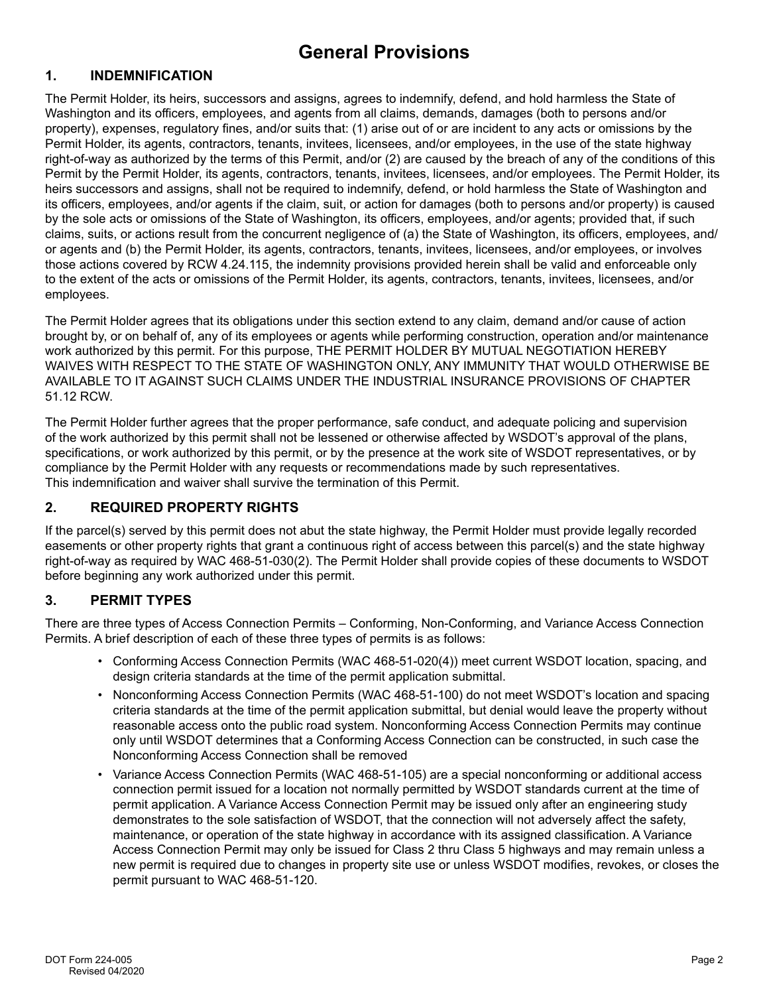# **General Provisions**

#### **1. INDEMNIFICATION**

The Permit Holder, its heirs, successors and assigns, agrees to indemnify, defend, and hold harmless the State of Washington and its officers, employees, and agents from all claims, demands, damages (both to persons and/or property), expenses, regulatory fines, and/or suits that: (1) arise out of or are incident to any acts or omissions by the Permit Holder, its agents, contractors, tenants, invitees, licensees, and/or employees, in the use of the state highway right-of-way as authorized by the terms of this Permit, and/or (2) are caused by the breach of any of the conditions of this Permit by the Permit Holder, its agents, contractors, tenants, invitees, licensees, and/or employees. The Permit Holder, its heirs successors and assigns, shall not be required to indemnify, defend, or hold harmless the State of Washington and its officers, employees, and/or agents if the claim, suit, or action for damages (both to persons and/or property) is caused by the sole acts or omissions of the State of Washington, its officers, employees, and/or agents; provided that, if such claims, suits, or actions result from the concurrent negligence of (a) the State of Washington, its officers, employees, and/ or agents and (b) the Permit Holder, its agents, contractors, tenants, invitees, licensees, and/or employees, or involves those actions covered by RCW 4.24.115, the indemnity provisions provided herein shall be valid and enforceable only to the extent of the acts or omissions of the Permit Holder, its agents, contractors, tenants, invitees, licensees, and/or employees.

The Permit Holder agrees that its obligations under this section extend to any claim, demand and/or cause of action brought by, or on behalf of, any of its employees or agents while performing construction, operation and/or maintenance work authorized by this permit. For this purpose, THE PERMIT HOLDER BY MUTUAL NEGOTIATION HEREBY WAIVES WITH RESPECT TO THE STATE OF WASHINGTON ONLY, ANY IMMUNITY THAT WOULD OTHERWISE BE AVAILABLE TO IT AGAINST SUCH CLAIMS UNDER THE INDUSTRIAL INSURANCE PROVISIONS OF CHAPTER 51.12 RCW.

The Permit Holder further agrees that the proper performance, safe conduct, and adequate policing and supervision of the work authorized by this permit shall not be lessened or otherwise affected by WSDOT's approval of the plans, specifications, or work authorized by this permit, or by the presence at the work site of WSDOT representatives, or by compliance by the Permit Holder with any requests or recommendations made by such representatives. This indemnification and waiver shall survive the termination of this Permit.

#### **2. REQUIRED PROPERTY RIGHTS**

If the parcel(s) served by this permit does not abut the state highway, the Permit Holder must provide legally recorded easements or other property rights that grant a continuous right of access between this parcel(s) and the state highway right-of-way as required by WAC 468-51-030(2). The Permit Holder shall provide copies of these documents to WSDOT before beginning any work authorized under this permit.

## **3. PERMIT TYPES**

There are three types of Access Connection Permits – Conforming, Non-Conforming, and Variance Access Connection Permits. A brief description of each of these three types of permits is as follows:

- Conforming Access Connection Permits (WAC 468-51-020(4)) meet current WSDOT location, spacing, and design criteria standards at the time of the permit application submittal.
- Nonconforming Access Connection Permits (WAC 468-51-100) do not meet WSDOT's location and spacing criteria standards at the time of the permit application submittal, but denial would leave the property without reasonable access onto the public road system. Nonconforming Access Connection Permits may continue only until WSDOT determines that a Conforming Access Connection can be constructed, in such case the Nonconforming Access Connection shall be removed
- Variance Access Connection Permits (WAC 468-51-105) are a special nonconforming or additional access connection permit issued for a location not normally permitted by WSDOT standards current at the time of permit application. A Variance Access Connection Permit may be issued only after an engineering study demonstrates to the sole satisfaction of WSDOT, that the connection will not adversely affect the safety, maintenance, or operation of the state highway in accordance with its assigned classification. A Variance Access Connection Permit may only be issued for Class 2 thru Class 5 highways and may remain unless a new permit is required due to changes in property site use or unless WSDOT modifies, revokes, or closes the permit pursuant to WAC 468-51-120.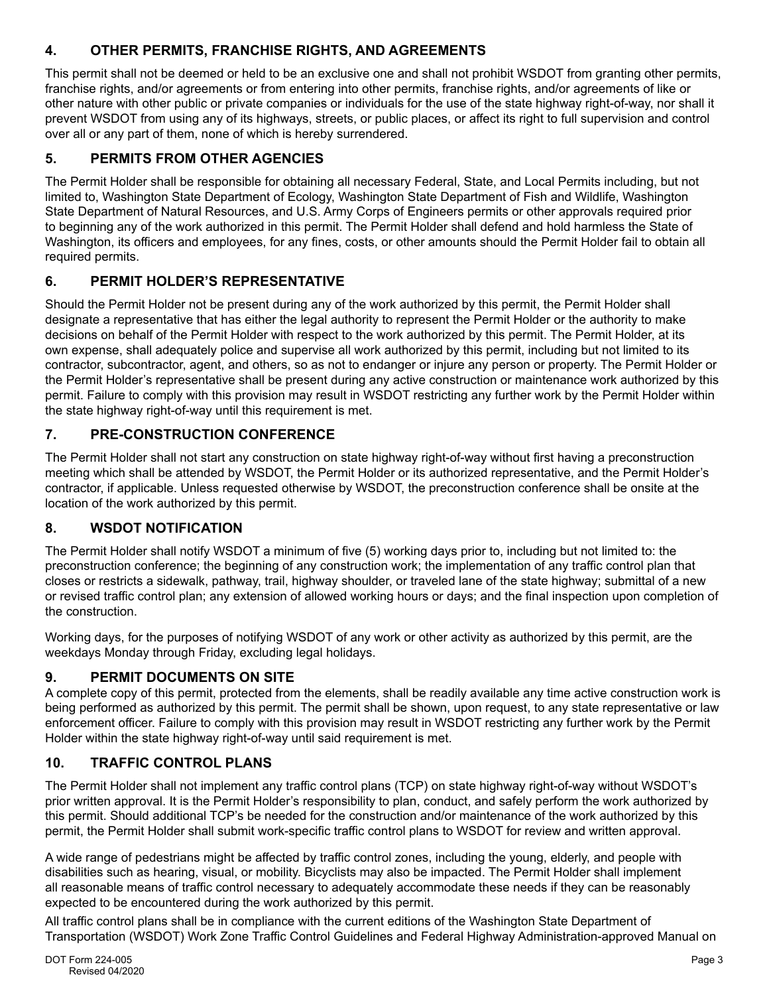## **4. OTHER PERMITS, FRANCHISE RIGHTS, AND AGREEMENTS**

This permit shall not be deemed or held to be an exclusive one and shall not prohibit WSDOT from granting other permits, franchise rights, and/or agreements or from entering into other permits, franchise rights, and/or agreements of like or other nature with other public or private companies or individuals for the use of the state highway right-of-way, nor shall it prevent WSDOT from using any of its highways, streets, or public places, or affect its right to full supervision and control over all or any part of them, none of which is hereby surrendered.

## **5. PERMITS FROM OTHER AGENCIES**

The Permit Holder shall be responsible for obtaining all necessary Federal, State, and Local Permits including, but not limited to, Washington State Department of Ecology, Washington State Department of Fish and Wildlife, Washington State Department of Natural Resources, and U.S. Army Corps of Engineers permits or other approvals required prior to beginning any of the work authorized in this permit. The Permit Holder shall defend and hold harmless the State of Washington, its officers and employees, for any fines, costs, or other amounts should the Permit Holder fail to obtain all required permits.

## **6. PERMIT HOLDER'S REPRESENTATIVE**

Should the Permit Holder not be present during any of the work authorized by this permit, the Permit Holder shall designate a representative that has either the legal authority to represent the Permit Holder or the authority to make decisions on behalf of the Permit Holder with respect to the work authorized by this permit. The Permit Holder, at its own expense, shall adequately police and supervise all work authorized by this permit, including but not limited to its contractor, subcontractor, agent, and others, so as not to endanger or injure any person or property. The Permit Holder or the Permit Holder's representative shall be present during any active construction or maintenance work authorized by this permit. Failure to comply with this provision may result in WSDOT restricting any further work by the Permit Holder within the state highway right-of-way until this requirement is met.

## **7. PRE-CONSTRUCTION CONFERENCE**

The Permit Holder shall not start any construction on state highway right-of-way without first having a preconstruction meeting which shall be attended by WSDOT, the Permit Holder or its authorized representative, and the Permit Holder's contractor, if applicable. Unless requested otherwise by WSDOT, the preconstruction conference shall be onsite at the location of the work authorized by this permit.

## **8. WSDOT NOTIFICATION**

The Permit Holder shall notify WSDOT a minimum of five (5) working days prior to, including but not limited to: the preconstruction conference; the beginning of any construction work; the implementation of any traffic control plan that closes or restricts a sidewalk, pathway, trail, highway shoulder, or traveled lane of the state highway; submittal of a new or revised traffic control plan; any extension of allowed working hours or days; and the final inspection upon completion of the construction.

Working days, for the purposes of notifying WSDOT of any work or other activity as authorized by this permit, are the weekdays Monday through Friday, excluding legal holidays.

## **9. PERMIT DOCUMENTS ON SITE**

A complete copy of this permit, protected from the elements, shall be readily available any time active construction work is being performed as authorized by this permit. The permit shall be shown, upon request, to any state representative or law enforcement officer. Failure to comply with this provision may result in WSDOT restricting any further work by the Permit Holder within the state highway right-of-way until said requirement is met.

## **10. TRAFFIC CONTROL PLANS**

The Permit Holder shall not implement any traffic control plans (TCP) on state highway right-of-way without WSDOT's prior written approval. It is the Permit Holder's responsibility to plan, conduct, and safely perform the work authorized by this permit. Should additional TCP's be needed for the construction and/or maintenance of the work authorized by this permit, the Permit Holder shall submit work-specific traffic control plans to WSDOT for review and written approval.

A wide range of pedestrians might be affected by traffic control zones, including the young, elderly, and people with disabilities such as hearing, visual, or mobility. Bicyclists may also be impacted. The Permit Holder shall implement all reasonable means of traffic control necessary to adequately accommodate these needs if they can be reasonably expected to be encountered during the work authorized by this permit.

All traffic control plans shall be in compliance with the current editions of the Washington State Department of Transportation (WSDOT) Work Zone Traffic Control Guidelines and Federal Highway Administration-approved Manual on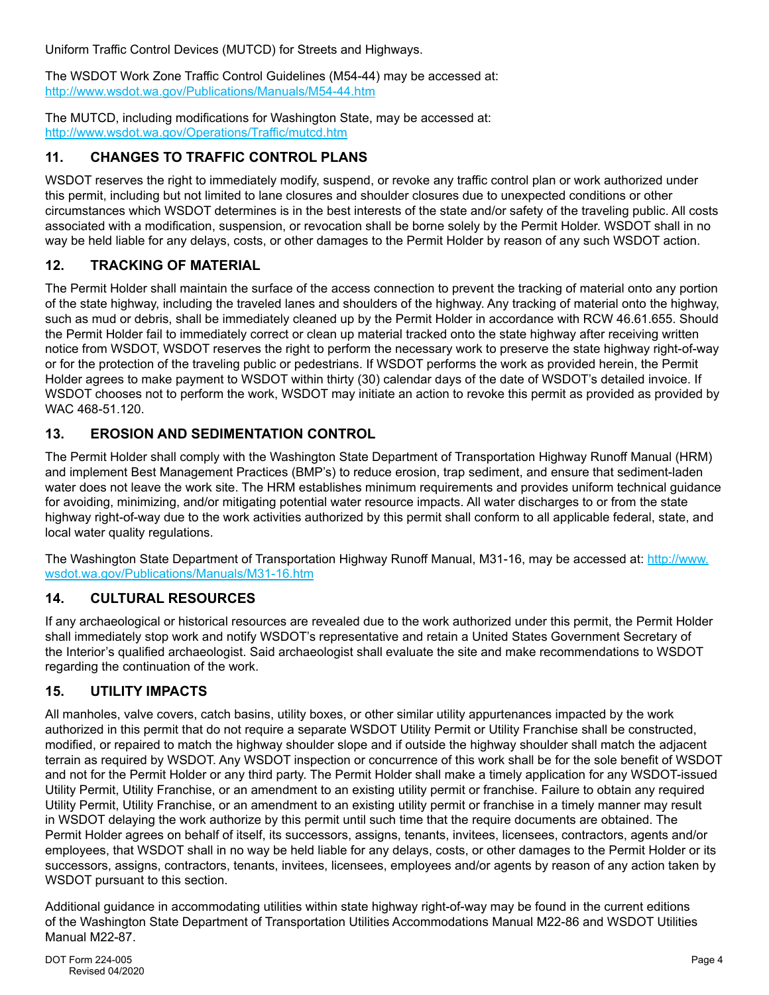Uniform Traffic Control Devices (MUTCD) for Streets and Highways.

The WSDOT Work Zone Traffic Control Guidelines (M54-44) may be accessed at: <http://www.wsdot.wa.gov/Publications/Manuals/M54-44.htm>

The MUTCD, including modifications for Washington State, may be accessed at: <http://www.wsdot.wa.gov/Operations/Traffic/mutcd.htm>

## **11. CHANGES TO TRAFFIC CONTROL PLANS**

WSDOT reserves the right to immediately modify, suspend, or revoke any traffic control plan or work authorized under this permit, including but not limited to lane closures and shoulder closures due to unexpected conditions or other circumstances which WSDOT determines is in the best interests of the state and/or safety of the traveling public. All costs associated with a modification, suspension, or revocation shall be borne solely by the Permit Holder. WSDOT shall in no way be held liable for any delays, costs, or other damages to the Permit Holder by reason of any such WSDOT action.

#### **12. TRACKING OF MATERIAL**

The Permit Holder shall maintain the surface of the access connection to prevent the tracking of material onto any portion of the state highway, including the traveled lanes and shoulders of the highway. Any tracking of material onto the highway, such as mud or debris, shall be immediately cleaned up by the Permit Holder in accordance with RCW 46.61.655. Should the Permit Holder fail to immediately correct or clean up material tracked onto the state highway after receiving written notice from WSDOT, WSDOT reserves the right to perform the necessary work to preserve the state highway right-of-way or for the protection of the traveling public or pedestrians. If WSDOT performs the work as provided herein, the Permit Holder agrees to make payment to WSDOT within thirty (30) calendar days of the date of WSDOT's detailed invoice. If WSDOT chooses not to perform the work, WSDOT may initiate an action to revoke this permit as provided as provided by WAC 468-51.120.

## **13. EROSION AND SEDIMENTATION CONTROL**

The Permit Holder shall comply with the Washington State Department of Transportation Highway Runoff Manual (HRM) and implement Best Management Practices (BMP's) to reduce erosion, trap sediment, and ensure that sediment-laden water does not leave the work site. The HRM establishes minimum requirements and provides uniform technical guidance for avoiding, minimizing, and/or mitigating potential water resource impacts. All water discharges to or from the state highway right-of-way due to the work activities authorized by this permit shall conform to all applicable federal, state, and local water quality regulations.

The Washington State Department of Transportation Highway Runoff Manual, M31-16, may be accessed at: http://www. [wsdot.wa.gov/Publications/Manuals/M31-16.htm](http://www.wsdot.wa.gov/Publications/Manuals/M31-16.htm) 

#### **14. CULTURAL RESOURCES**

If any archaeological or historical resources are revealed due to the work authorized under this permit, the Permit Holder shall immediately stop work and notify WSDOT's representative and retain a United States Government Secretary of the Interior's qualified archaeologist. Said archaeologist shall evaluate the site and make recommendations to WSDOT regarding the continuation of the work.

## **15. UTILITY IMPACTS**

All manholes, valve covers, catch basins, utility boxes, or other similar utility appurtenances impacted by the work authorized in this permit that do not require a separate WSDOT Utility Permit or Utility Franchise shall be constructed, modified, or repaired to match the highway shoulder slope and if outside the highway shoulder shall match the adjacent terrain as required by WSDOT. Any WSDOT inspection or concurrence of this work shall be for the sole benefit of WSDOT and not for the Permit Holder or any third party. The Permit Holder shall make a timely application for any WSDOT-issued Utility Permit, Utility Franchise, or an amendment to an existing utility permit or franchise. Failure to obtain any required Utility Permit, Utility Franchise, or an amendment to an existing utility permit or franchise in a timely manner may result in WSDOT delaying the work authorize by this permit until such time that the require documents are obtained. The Permit Holder agrees on behalf of itself, its successors, assigns, tenants, invitees, licensees, contractors, agents and/or employees, that WSDOT shall in no way be held liable for any delays, costs, or other damages to the Permit Holder or its successors, assigns, contractors, tenants, invitees, licensees, employees and/or agents by reason of any action taken by WSDOT pursuant to this section.

Additional guidance in accommodating utilities within state highway right-of-way may be found in the current editions of the Washington State Department of Transportation Utilities Accommodations Manual M22-86 and WSDOT Utilities Manual M22-87.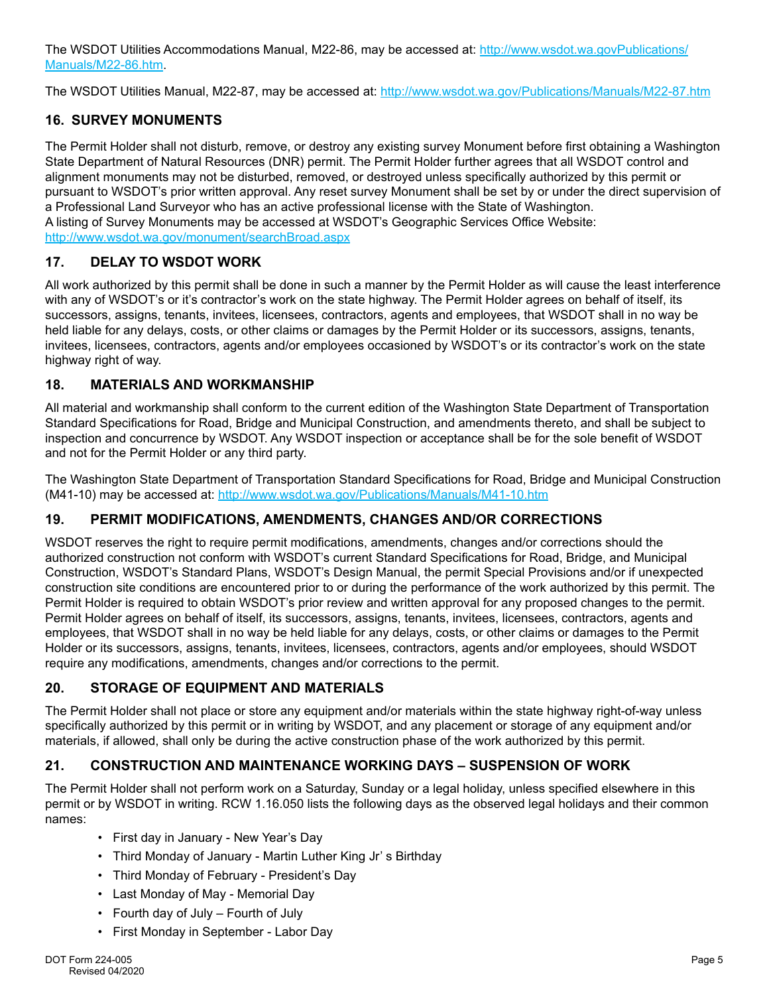The WSDOT Utilities Accommodations Manual, M22-86, may be accessed at: [http://www.wsdot.wa.govPublications/](http://www.wsdot.wa.govPublications/Manuals/M22-86.htm) [Manuals/M22-86.htm.](http://www.wsdot.wa.govPublications/Manuals/M22-86.htm)

The WSDOT Utilities Manual, M22-87, may be accessed at: [http://www.wsdot.wa.gov/Publications/Manuals/M22-87.htm](http://www.wsdot.wa.govPublications/Manuals/M22-86.htm)

#### **16. SURVEY MONUMENTS**

The Permit Holder shall not disturb, remove, or destroy any existing survey Monument before first obtaining a Washington State Department of Natural Resources (DNR) permit. The Permit Holder further agrees that all WSDOT control and alignment monuments may not be disturbed, removed, or destroyed unless specifically authorized by this permit or pursuant to WSDOT's prior written approval. Any reset survey Monument shall be set by or under the direct supervision of a Professional Land Surveyor who has an active professional license with the State of Washington. A listing of Survey Monuments may be accessed at WSDOT's Geographic Services Office Website: <http://www.wsdot.wa.gov/monument/searchBroad.aspx>

#### **17. DELAY TO WSDOT WORK**

All work authorized by this permit shall be done in such a manner by the Permit Holder as will cause the least interference with any of WSDOT's or it's contractor's work on the state highway. The Permit Holder agrees on behalf of itself, its successors, assigns, tenants, invitees, licensees, contractors, agents and employees, that WSDOT shall in no way be held liable for any delays, costs, or other claims or damages by the Permit Holder or its successors, assigns, tenants, invitees, licensees, contractors, agents and/or employees occasioned by WSDOT's or its contractor's work on the state highway right of way.

#### **18. MATERIALS AND WORKMANSHIP**

All material and workmanship shall conform to the current edition of the Washington State Department of Transportation Standard Specifications for Road, Bridge and Municipal Construction, and amendments thereto, and shall be subject to inspection and concurrence by WSDOT. Any WSDOT inspection or acceptance shall be for the sole benefit of WSDOT and not for the Permit Holder or any third party.

The Washington State Department of Transportation Standard Specifications for Road, Bridge and Municipal Construction (M41-10) may be accessed at: <http://www.wsdot.wa.gov/Publications/Manuals/M41-10.htm>

#### **19. PERMIT MODIFICATIONS, AMENDMENTS, CHANGES AND/OR CORRECTIONS**

WSDOT reserves the right to require permit modifications, amendments, changes and/or corrections should the authorized construction not conform with WSDOT's current Standard Specifications for Road, Bridge, and Municipal Construction, WSDOT's Standard Plans, WSDOT's Design Manual, the permit Special Provisions and/or if unexpected construction site conditions are encountered prior to or during the performance of the work authorized by this permit. The Permit Holder is required to obtain WSDOT's prior review and written approval for any proposed changes to the permit. Permit Holder agrees on behalf of itself, its successors, assigns, tenants, invitees, licensees, contractors, agents and employees, that WSDOT shall in no way be held liable for any delays, costs, or other claims or damages to the Permit Holder or its successors, assigns, tenants, invitees, licensees, contractors, agents and/or employees, should WSDOT require any modifications, amendments, changes and/or corrections to the permit.

#### **20. STORAGE OF EQUIPMENT AND MATERIALS**

The Permit Holder shall not place or store any equipment and/or materials within the state highway right-of-way unless specifically authorized by this permit or in writing by WSDOT, and any placement or storage of any equipment and/or materials, if allowed, shall only be during the active construction phase of the work authorized by this permit.

## **21. CONSTRUCTION AND MAINTENANCE WORKING DAYS – SUSPENSION OF WORK**

The Permit Holder shall not perform work on a Saturday, Sunday or a legal holiday, unless specified elsewhere in this permit or by WSDOT in writing. RCW 1.16.050 lists the following days as the observed legal holidays and their common names:

- First day in January New Year's Day
- Third Monday of January Martin Luther King Jr' s Birthday
- Third Monday of February President's Day
- Last Monday of May Memorial Day
- Fourth day of July Fourth of July
- First Monday in September Labor Day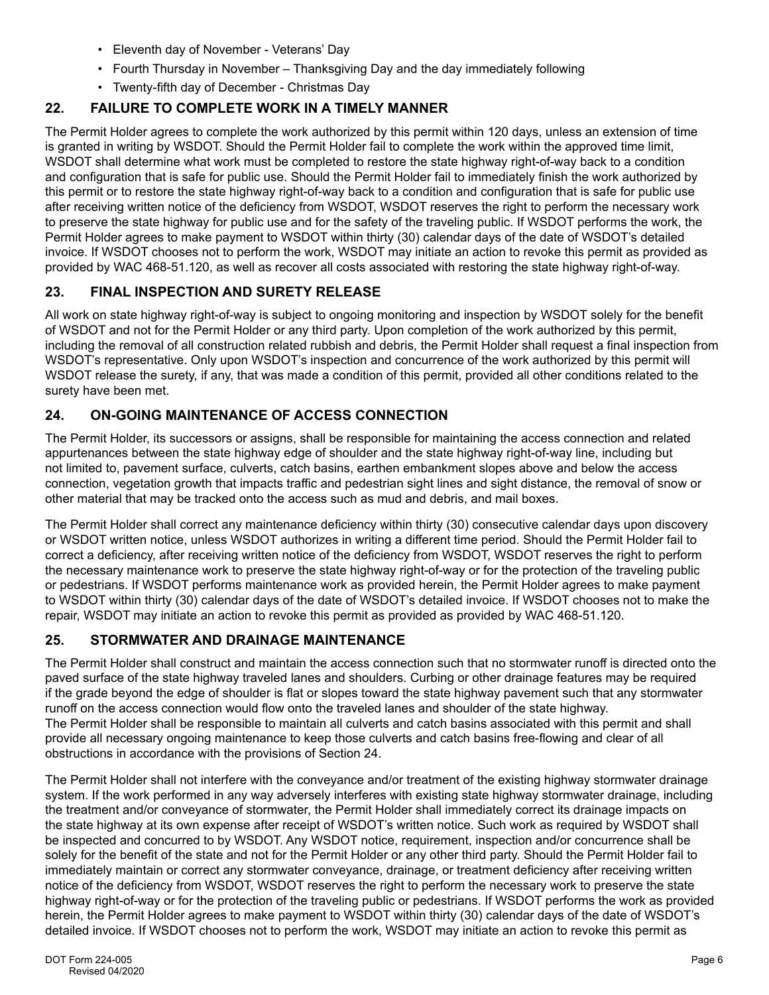- Eleventh day of November Veterans' Day
- Fourth Thursday in November Thanksgiving Day and the day immediately following
- Twenty-fifth day of December Christmas Day

## **22. FAILURE TO COMPLETE WORK IN A TIMELY MANNER**

The Permit Holder agrees to complete the work authorized by this permit within 120 days, unless an extension of time is granted in writing by WSDOT. Should the Permit Holder fail to complete the work within the approved time limit, WSDOT shall determine what work must be completed to restore the state highway right-of-way back to a condition and configuration that is safe for public use. Should the Permit Holder fail to immediately finish the work authorized by this permit or to restore the state highway right-of-way back to a condition and configuration that is safe for public use after receiving written notice of the deficiency from WSDOT, WSDOT reserves the right to perform the necessary work to preserve the state highway for public use and for the safety of the traveling public. If WSDOT performs the work, the Permit Holder agrees to make payment to WSDOT within thirty (30) calendar days of the date of WSDOT's detailed invoice. If WSDOT chooses not to perform the work, WSDOT may initiate an action to revoke this permit as provided as provided by WAC 468-51.120, as well as recover all costs associated with restoring the state highway right-of-way.

## **23. FINAL INSPECTION AND SURETY RELEASE**

All work on state highway right-of-way is subject to ongoing monitoring and inspection by WSDOT solely for the benefit of WSDOT and not for the Permit Holder or any third party. Upon completion of the work authorized by this permit, including the removal of all construction related rubbish and debris, the Permit Holder shall request a final inspection from WSDOT's representative. Only upon WSDOT's inspection and concurrence of the work authorized by this permit will WSDOT release the surety, if any, that was made a condition of this permit, provided all other conditions related to the surety have been met.

## **24. ON-GOING MAINTENANCE OF ACCESS CONNECTION**

The Permit Holder, its successors or assigns, shall be responsible for maintaining the access connection and related appurtenances between the state highway edge of shoulder and the state highway right-of-way line, including but not limited to, pavement surface, culverts, catch basins, earthen embankment slopes above and below the access connection, vegetation growth that impacts traffic and pedestrian sight lines and sight distance, the removal of snow or other material that may be tracked onto the access such as mud and debris, and mail boxes.

The Permit Holder shall correct any maintenance deficiency within thirty (30) consecutive calendar days upon discovery or WSDOT written notice, unless WSDOT authorizes in writing a different time period. Should the Permit Holder fail to correct a deficiency, after receiving written notice of the deficiency from WSDOT, WSDOT reserves the right to perform the necessary maintenance work to preserve the state highway right-of-way or for the protection of the traveling public or pedestrians. If WSDOT performs maintenance work as provided herein, the Permit Holder agrees to make payment to WSDOT within thirty (30) calendar days of the date of WSDOT's detailed invoice. If WSDOT chooses not to make the repair, WSDOT may initiate an action to revoke this permit as provided as provided by WAC 468-51.120.

## **25. STORMWATER AND DRAINAGE MAINTENANCE**

The Permit Holder shall construct and maintain the access connection such that no stormwater runoff is directed onto the paved surface of the state highway traveled lanes and shoulders. Curbing or other drainage features may be required if the grade beyond the edge of shoulder is flat or slopes toward the state highway pavement such that any stormwater runoff on the access connection would flow onto the traveled lanes and shoulder of the state highway. The Permit Holder shall be responsible to maintain all culverts and catch basins associated with this permit and shall provide all necessary ongoing maintenance to keep those culverts and catch basins free-flowing and clear of all obstructions in accordance with the provisions of Section 24.

The Permit Holder shall not interfere with the conveyance and/or treatment of the existing highway stormwater drainage system. If the work performed in any way adversely interferes with existing state highway stormwater drainage, including the treatment and/or conveyance of stormwater, the Permit Holder shall immediately correct its drainage impacts on the state highway at its own expense after receipt of WSDOT's written notice. Such work as required by WSDOT shall be inspected and concurred to by WSDOT. Any WSDOT notice, requirement, inspection and/or concurrence shall be solely for the benefit of the state and not for the Permit Holder or any other third party. Should the Permit Holder fail to immediately maintain or correct any stormwater conveyance, drainage, or treatment deficiency after receiving written notice of the deficiency from WSDOT, WSDOT reserves the right to perform the necessary work to preserve the state highway right-of-way or for the protection of the traveling public or pedestrians. If WSDOT performs the work as provided herein, the Permit Holder agrees to make payment to WSDOT within thirty (30) calendar days of the date of WSDOT's detailed invoice. If WSDOT chooses not to perform the work, WSDOT may initiate an action to revoke this permit as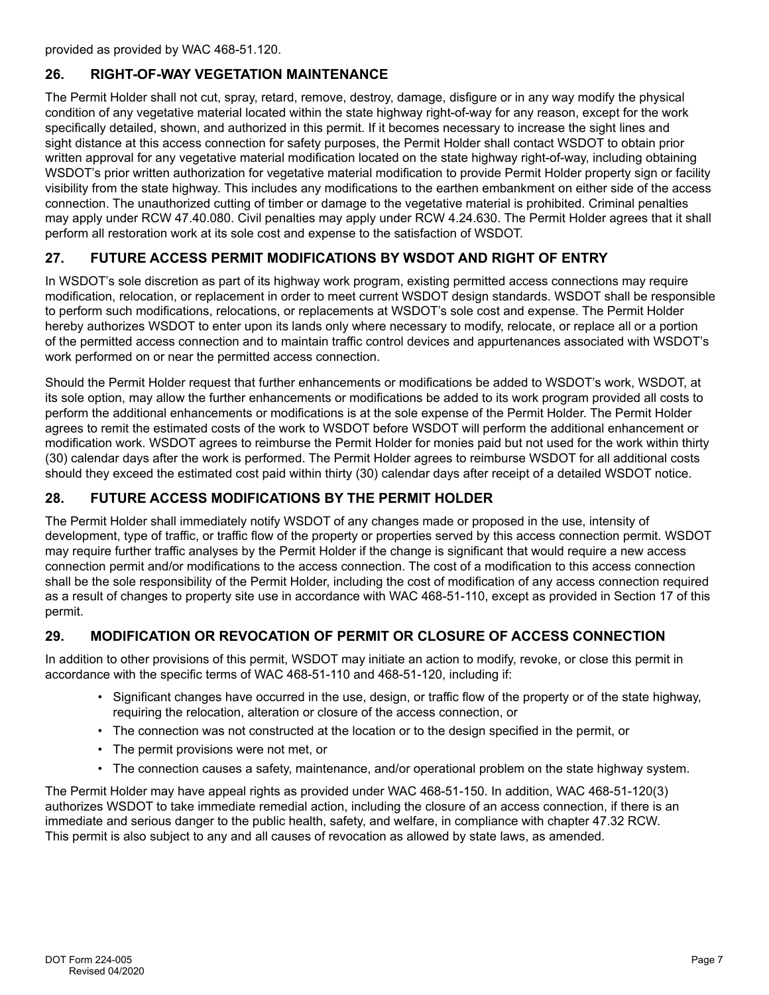provided as provided by WAC 468-51.120.

#### **26. RIGHT-OF-WAY VEGETATION MAINTENANCE**

The Permit Holder shall not cut, spray, retard, remove, destroy, damage, disfigure or in any way modify the physical condition of any vegetative material located within the state highway right-of-way for any reason, except for the work specifically detailed, shown, and authorized in this permit. If it becomes necessary to increase the sight lines and sight distance at this access connection for safety purposes, the Permit Holder shall contact WSDOT to obtain prior written approval for any vegetative material modification located on the state highway right-of-way, including obtaining WSDOT's prior written authorization for vegetative material modification to provide Permit Holder property sign or facility visibility from the state highway. This includes any modifications to the earthen embankment on either side of the access connection. The unauthorized cutting of timber or damage to the vegetative material is prohibited. Criminal penalties may apply under RCW 47.40.080. Civil penalties may apply under RCW 4.24.630. The Permit Holder agrees that it shall perform all restoration work at its sole cost and expense to the satisfaction of WSDOT.

## **27. FUTURE ACCESS PERMIT MODIFICATIONS BY WSDOT AND RIGHT OF ENTRY**

In WSDOT's sole discretion as part of its highway work program, existing permitted access connections may require modification, relocation, or replacement in order to meet current WSDOT design standards. WSDOT shall be responsible to perform such modifications, relocations, or replacements at WSDOT's sole cost and expense. The Permit Holder hereby authorizes WSDOT to enter upon its lands only where necessary to modify, relocate, or replace all or a portion of the permitted access connection and to maintain traffic control devices and appurtenances associated with WSDOT's work performed on or near the permitted access connection.

Should the Permit Holder request that further enhancements or modifications be added to WSDOT's work, WSDOT, at its sole option, may allow the further enhancements or modifications be added to its work program provided all costs to perform the additional enhancements or modifications is at the sole expense of the Permit Holder. The Permit Holder agrees to remit the estimated costs of the work to WSDOT before WSDOT will perform the additional enhancement or modification work. WSDOT agrees to reimburse the Permit Holder for monies paid but not used for the work within thirty (30) calendar days after the work is performed. The Permit Holder agrees to reimburse WSDOT for all additional costs should they exceed the estimated cost paid within thirty (30) calendar days after receipt of a detailed WSDOT notice.

## **28. FUTURE ACCESS MODIFICATIONS BY THE PERMIT HOLDER**

The Permit Holder shall immediately notify WSDOT of any changes made or proposed in the use, intensity of development, type of traffic, or traffic flow of the property or properties served by this access connection permit. WSDOT may require further traffic analyses by the Permit Holder if the change is significant that would require a new access connection permit and/or modifications to the access connection. The cost of a modification to this access connection shall be the sole responsibility of the Permit Holder, including the cost of modification of any access connection required as a result of changes to property site use in accordance with WAC 468-51-110, except as provided in Section 17 of this permit.

## **29. MODIFICATION OR REVOCATION OF PERMIT OR CLOSURE OF ACCESS CONNECTION**

In addition to other provisions of this permit, WSDOT may initiate an action to modify, revoke, or close this permit in accordance with the specific terms of WAC 468-51-110 and 468-51-120, including if:

- Significant changes have occurred in the use, design, or traffic flow of the property or of the state highway, requiring the relocation, alteration or closure of the access connection, or
- The connection was not constructed at the location or to the design specified in the permit, or
- The permit provisions were not met, or
- The connection causes a safety, maintenance, and/or operational problem on the state highway system.

The Permit Holder may have appeal rights as provided under WAC 468-51-150. In addition, WAC 468-51-120(3) authorizes WSDOT to take immediate remedial action, including the closure of an access connection, if there is an immediate and serious danger to the public health, safety, and welfare, in compliance with chapter 47.32 RCW. This permit is also subject to any and all causes of revocation as allowed by state laws, as amended.